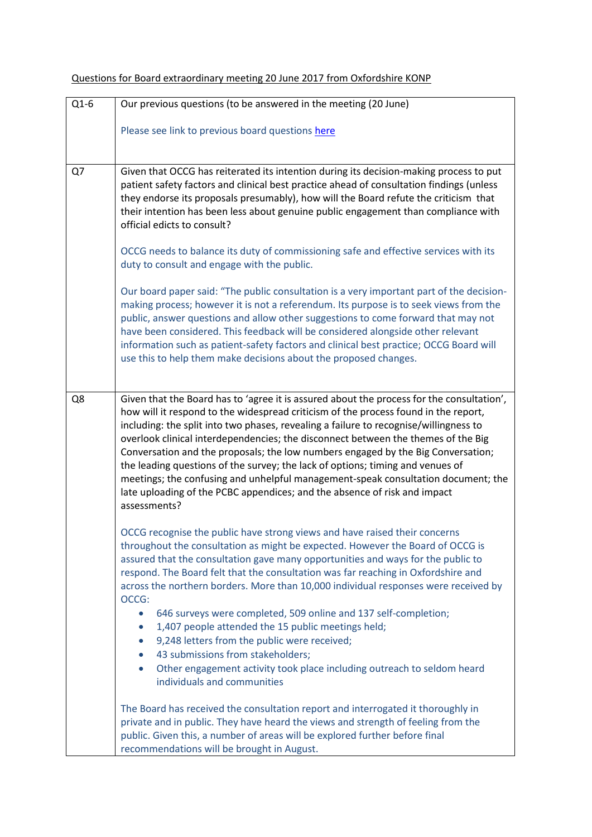| $Q1-6$ | Our previous questions (to be answered in the meeting (20 June)                                                                                                                                                                                                                                                                                                                                                                                                                                                                                                                                                                                                                                                        |
|--------|------------------------------------------------------------------------------------------------------------------------------------------------------------------------------------------------------------------------------------------------------------------------------------------------------------------------------------------------------------------------------------------------------------------------------------------------------------------------------------------------------------------------------------------------------------------------------------------------------------------------------------------------------------------------------------------------------------------------|
|        | Please see link to previous board questions here                                                                                                                                                                                                                                                                                                                                                                                                                                                                                                                                                                                                                                                                       |
| Q7     | Given that OCCG has reiterated its intention during its decision-making process to put                                                                                                                                                                                                                                                                                                                                                                                                                                                                                                                                                                                                                                 |
|        | patient safety factors and clinical best practice ahead of consultation findings (unless<br>they endorse its proposals presumably), how will the Board refute the criticism that<br>their intention has been less about genuine public engagement than compliance with<br>official edicts to consult?                                                                                                                                                                                                                                                                                                                                                                                                                  |
|        | OCCG needs to balance its duty of commissioning safe and effective services with its<br>duty to consult and engage with the public.                                                                                                                                                                                                                                                                                                                                                                                                                                                                                                                                                                                    |
|        | Our board paper said: "The public consultation is a very important part of the decision-<br>making process; however it is not a referendum. Its purpose is to seek views from the<br>public, answer questions and allow other suggestions to come forward that may not<br>have been considered. This feedback will be considered alongside other relevant<br>information such as patient-safety factors and clinical best practice; OCCG Board will<br>use this to help them make decisions about the proposed changes.                                                                                                                                                                                                |
| Q8     | Given that the Board has to 'agree it is assured about the process for the consultation',<br>how will it respond to the widespread criticism of the process found in the report,<br>including: the split into two phases, revealing a failure to recognise/willingness to<br>overlook clinical interdependencies; the disconnect between the themes of the Big<br>Conversation and the proposals; the low numbers engaged by the Big Conversation;<br>the leading questions of the survey; the lack of options; timing and venues of<br>meetings; the confusing and unhelpful management-speak consultation document; the<br>late uploading of the PCBC appendices; and the absence of risk and impact<br>assessments? |
|        | OCCG recognise the public have strong views and have raised their concerns<br>throughout the consultation as might be expected. However the Board of OCCG is<br>assured that the consultation gave many opportunities and ways for the public to<br>respond. The Board felt that the consultation was far reaching in Oxfordshire and<br>across the northern borders. More than 10,000 individual responses were received by<br>OCCG:<br>646 surveys were completed, 509 online and 137 self-completion;<br>$\bullet$<br>1,407 people attended the 15 public meetings held;<br>$\bullet$<br>9,248 letters from the public were received;<br>$\bullet$                                                                  |
|        | 43 submissions from stakeholders;<br>$\bullet$<br>Other engagement activity took place including outreach to seldom heard<br>$\bullet$<br>individuals and communities                                                                                                                                                                                                                                                                                                                                                                                                                                                                                                                                                  |
|        | The Board has received the consultation report and interrogated it thoroughly in<br>private and in public. They have heard the views and strength of feeling from the<br>public. Given this, a number of areas will be explored further before final<br>recommendations will be brought in August.                                                                                                                                                                                                                                                                                                                                                                                                                     |

## Questions for Board extraordinary meeting 20 June 2017 from Oxfordshire KONP